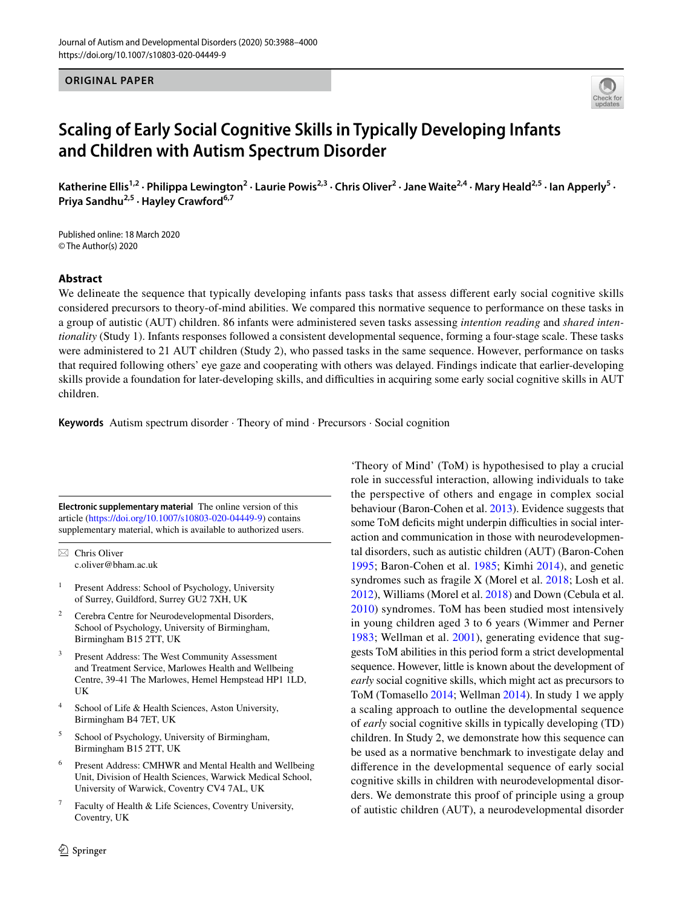**ORIGINAL PAPER**



# **Scaling of Early Social Cognitive Skills in Typically Developing Infants and Children with Autism Spectrum Disorder**

Katherine Ellis<sup>1,2</sup> · Philippa Lewington<sup>2</sup> · Laurie Powis<sup>2,3</sup> · Chris Oliver<sup>2</sup> · Jane Waite<sup>2,4</sup> · Mary Heald<sup>2,5</sup> · Ian Apperly<sup>5</sup> · Priya Sandhu<sup>2,5</sup> · Hayley Crawford<sup>6,7</sup>

Published online: 18 March 2020 © The Author(s) 2020

## **Abstract**

We delineate the sequence that typically developing infants pass tasks that assess diferent early social cognitive skills considered precursors to theory-of-mind abilities. We compared this normative sequence to performance on these tasks in a group of autistic (AUT) children. 86 infants were administered seven tasks assessing *intention reading* and *shared intentionality* (Study 1). Infants responses followed a consistent developmental sequence, forming a four-stage scale. These tasks were administered to 21 AUT children (Study 2), who passed tasks in the same sequence. However, performance on tasks that required following others' eye gaze and cooperating with others was delayed. Findings indicate that earlier-developing skills provide a foundation for later-developing skills, and difficulties in acquiring some early social cognitive skills in AUT children.

**Keywords** Autism spectrum disorder · Theory of mind · Precursors · Social cognition

**Electronic supplementary material** The online version of this article [\(https://doi.org/10.1007/s10803-020-04449-9\)](https://doi.org/10.1007/s10803-020-04449-9) contains supplementary material, which is available to authorized users.

 $\boxtimes$  Chris Oliver c.oliver@bham.ac.uk

- <sup>1</sup> Present Address: School of Psychology, University of Surrey, Guildford, Surrey GU2 7XH, UK
- <sup>2</sup> Cerebra Centre for Neurodevelopmental Disorders, School of Psychology, University of Birmingham, Birmingham B15 2TT, UK
- <sup>3</sup> Present Address: The West Community Assessment and Treatment Service, Marlowes Health and Wellbeing Centre, 39-41 The Marlowes, Hemel Hempstead HP1 1LD, UK
- <sup>4</sup> School of Life & Health Sciences, Aston University, Birmingham B4 7ET, UK
- <sup>5</sup> School of Psychology, University of Birmingham, Birmingham B15 2TT, UK
- <sup>6</sup> Present Address: CMHWR and Mental Health and Wellbeing Unit, Division of Health Sciences, Warwick Medical School, University of Warwick, Coventry CV4 7AL, UK
- Faculty of Health & Life Sciences, Coventry University, Coventry, UK

'Theory of Mind' (ToM) is hypothesised to play a crucial role in successful interaction, allowing individuals to take the perspective of others and engage in complex social behaviour (Baron-Cohen et al. [2013](#page-11-0)). Evidence suggests that some ToM deficits might underpin difficulties in social interaction and communication in those with neurodevelopmental disorders, such as autistic children (AUT) (Baron-Cohen [1995;](#page-11-1) Baron-Cohen et al. [1985](#page-11-2); Kimhi [2014\)](#page-11-3), and genetic syndromes such as fragile X (Morel et al. [2018](#page-11-4); Losh et al. [2012](#page-11-5)), Williams (Morel et al. [2018](#page-11-4)) and Down (Cebula et al. [2010\)](#page-11-6) syndromes. ToM has been studied most intensively in young children aged 3 to 6 years (Wimmer and Perner [1983](#page-12-0); Wellman et al. [2001](#page-12-1)), generating evidence that suggests ToM abilities in this period form a strict developmental sequence. However, little is known about the development of *early* social cognitive skills, which might act as precursors to ToM (Tomasello [2014;](#page-12-2) Wellman [2014\)](#page-12-3). In study 1 we apply a scaling approach to outline the developmental sequence of *early* social cognitive skills in typically developing (TD) children. In Study 2, we demonstrate how this sequence can be used as a normative benchmark to investigate delay and diference in the developmental sequence of early social cognitive skills in children with neurodevelopmental disorders. We demonstrate this proof of principle using a group of autistic children (AUT), a neurodevelopmental disorder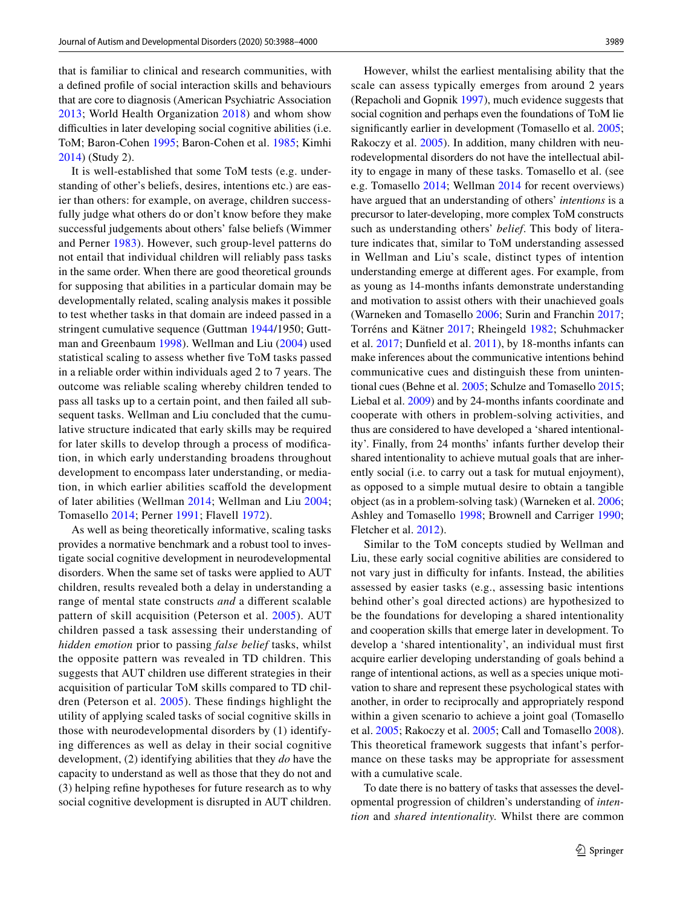that is familiar to clinical and research communities, with a defned profle of social interaction skills and behaviours that are core to diagnosis (American Psychiatric Association [2013;](#page-10-0) World Health Organization [2018\)](#page-12-4) and whom show difficulties in later developing social cognitive abilities (i.e. ToM; Baron-Cohen [1995](#page-11-1); Baron-Cohen et al. [1985;](#page-11-2) Kimhi [2014](#page-11-3)) (Study 2).

It is well-established that some ToM tests (e.g. understanding of other's beliefs, desires, intentions etc.) are easier than others: for example, on average, children successfully judge what others do or don't know before they make successful judgements about others' false beliefs (Wimmer and Perner [1983\)](#page-12-0). However, such group-level patterns do not entail that individual children will reliably pass tasks in the same order. When there are good theoretical grounds for supposing that abilities in a particular domain may be developmentally related, scaling analysis makes it possible to test whether tasks in that domain are indeed passed in a stringent cumulative sequence (Guttman [1944/](#page-11-7)1950; Guttman and Greenbaum [1998\)](#page-11-8). Wellman and Liu ([2004\)](#page-12-5) used statistical scaling to assess whether fve ToM tasks passed in a reliable order within individuals aged 2 to 7 years. The outcome was reliable scaling whereby children tended to pass all tasks up to a certain point, and then failed all subsequent tasks. Wellman and Liu concluded that the cumulative structure indicated that early skills may be required for later skills to develop through a process of modifcation, in which early understanding broadens throughout development to encompass later understanding, or mediation, in which earlier abilities scafold the development of later abilities (Wellman [2014;](#page-12-3) Wellman and Liu [2004](#page-12-5); Tomasello [2014;](#page-12-2) Perner [1991](#page-11-9); Flavell [1972\)](#page-11-10).

As well as being theoretically informative, scaling tasks provides a normative benchmark and a robust tool to investigate social cognitive development in neurodevelopmental disorders. When the same set of tasks were applied to AUT children, results revealed both a delay in understanding a range of mental state constructs *and* a diferent scalable pattern of skill acquisition (Peterson et al. [2005\)](#page-11-11). AUT children passed a task assessing their understanding of *hidden emotion* prior to passing *false belief* tasks, whilst the opposite pattern was revealed in TD children. This suggests that AUT children use diferent strategies in their acquisition of particular ToM skills compared to TD children (Peterson et al. [2005\)](#page-11-11). These fndings highlight the utility of applying scaled tasks of social cognitive skills in those with neurodevelopmental disorders by (1) identifying diferences as well as delay in their social cognitive development, (2) identifying abilities that they *do* have the capacity to understand as well as those that they do not and (3) helping refne hypotheses for future research as to why social cognitive development is disrupted in AUT children.

However, whilst the earliest mentalising ability that the scale can assess typically emerges from around 2 years (Repacholi and Gopnik [1997\)](#page-12-6), much evidence suggests that social cognition and perhaps even the foundations of ToM lie significantly earlier in development (Tomasello et al. [2005](#page-12-7); Rakoczy et al. [2005\)](#page-11-12). In addition, many children with neurodevelopmental disorders do not have the intellectual ability to engage in many of these tasks. Tomasello et al. (see e.g. Tomasello [2014](#page-12-2); Wellman [2014](#page-12-3) for recent overviews) have argued that an understanding of others' *intentions* is a precursor to later-developing, more complex ToM constructs such as understanding others' *belief*. This body of literature indicates that, similar to ToM understanding assessed in Wellman and Liu's scale, distinct types of intention understanding emerge at diferent ages. For example, from as young as 14-months infants demonstrate understanding and motivation to assist others with their unachieved goals (Warneken and Tomasello [2006](#page-12-8); Surin and Franchin [2017](#page-12-9); Torréns and Kätner [2017;](#page-12-10) Rheingeld [1982;](#page-12-11) Schuhmacker et al. [2017](#page-12-12); Dunfeld et al. [2011\)](#page-11-13), by 18-months infants can make inferences about the communicative intentions behind communicative cues and distinguish these from unintentional cues (Behne et al. [2005;](#page-11-14) Schulze and Tomasello [2015](#page-12-13); Liebal et al. [2009\)](#page-11-15) and by 24-months infants coordinate and cooperate with others in problem-solving activities, and thus are considered to have developed a 'shared intentionality'. Finally, from 24 months' infants further develop their shared intentionality to achieve mutual goals that are inherently social (i.e. to carry out a task for mutual enjoyment), as opposed to a simple mutual desire to obtain a tangible object (as in a problem-solving task) (Warneken et al. [2006](#page-12-14); Ashley and Tomasello [1998;](#page-11-16) Brownell and Carriger [1990](#page-11-17); Fletcher et al. [2012\)](#page-11-18).

Similar to the ToM concepts studied by Wellman and Liu, these early social cognitive abilities are considered to not vary just in difficulty for infants. Instead, the abilities assessed by easier tasks (e.g., assessing basic intentions behind other's goal directed actions) are hypothesized to be the foundations for developing a shared intentionality and cooperation skills that emerge later in development. To develop a 'shared intentionality', an individual must frst acquire earlier developing understanding of goals behind a range of intentional actions, as well as a species unique motivation to share and represent these psychological states with another, in order to reciprocally and appropriately respond within a given scenario to achieve a joint goal (Tomasello et al. [2005](#page-12-7); Rakoczy et al. [2005](#page-11-12); Call and Tomasello [2008](#page-11-19)). This theoretical framework suggests that infant's performance on these tasks may be appropriate for assessment with a cumulative scale.

To date there is no battery of tasks that assesses the developmental progression of children's understanding of *intention* and *shared intentionality.* Whilst there are common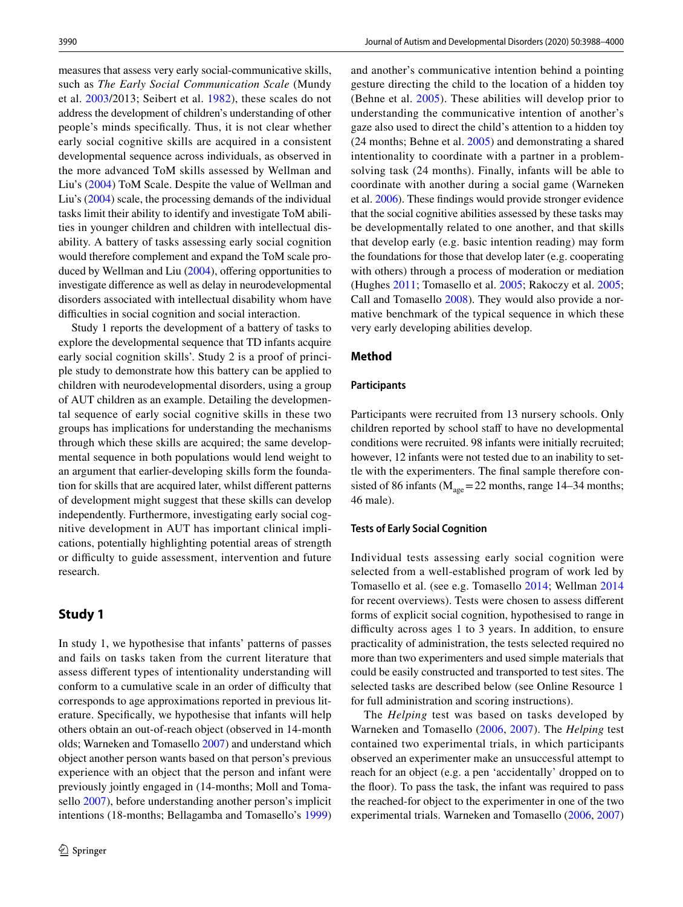measures that assess very early social-communicative skills, such as *The Early Social Communication Scale* (Mundy et al. [2003](#page-11-20)/2013; Seibert et al. [1982\)](#page-12-15), these scales do not address the development of children's understanding of other people's minds specifcally. Thus, it is not clear whether early social cognitive skills are acquired in a consistent developmental sequence across individuals, as observed in the more advanced ToM skills assessed by Wellman and Liu's [\(2004\)](#page-12-5) ToM Scale. Despite the value of Wellman and Liu's ([2004\)](#page-12-5) scale, the processing demands of the individual tasks limit their ability to identify and investigate ToM abilities in younger children and children with intellectual disability. A battery of tasks assessing early social cognition would therefore complement and expand the ToM scale produced by Wellman and Liu ([2004\)](#page-12-5), ofering opportunities to investigate diference as well as delay in neurodevelopmental disorders associated with intellectual disability whom have difficulties in social cognition and social interaction.

Study 1 reports the development of a battery of tasks to explore the developmental sequence that TD infants acquire early social cognition skills'. Study 2 is a proof of principle study to demonstrate how this battery can be applied to children with neurodevelopmental disorders, using a group of AUT children as an example. Detailing the developmental sequence of early social cognitive skills in these two groups has implications for understanding the mechanisms through which these skills are acquired; the same developmental sequence in both populations would lend weight to an argument that earlier-developing skills form the foundation for skills that are acquired later, whilst diferent patterns of development might suggest that these skills can develop independently. Furthermore, investigating early social cognitive development in AUT has important clinical implications, potentially highlighting potential areas of strength or difficulty to guide assessment, intervention and future research.

# **Study 1**

In study 1, we hypothesise that infants' patterns of passes and fails on tasks taken from the current literature that assess diferent types of intentionality understanding will conform to a cumulative scale in an order of difficulty that corresponds to age approximations reported in previous literature. Specifcally, we hypothesise that infants will help others obtain an out-of-reach object (observed in 14-month olds; Warneken and Tomasello [2007](#page-12-16)) and understand which object another person wants based on that person's previous experience with an object that the person and infant were previously jointly engaged in (14-months; Moll and Tomasello [2007\)](#page-11-21), before understanding another person's implicit intentions (18-months; Bellagamba and Tomasello's [1999\)](#page-11-22) and another's communicative intention behind a pointing gesture directing the child to the location of a hidden toy (Behne et al. [2005\)](#page-11-14). These abilities will develop prior to understanding the communicative intention of another's gaze also used to direct the child's attention to a hidden toy (24 months; Behne et al. [2005\)](#page-11-14) and demonstrating a shared intentionality to coordinate with a partner in a problemsolving task (24 months). Finally, infants will be able to coordinate with another during a social game (Warneken et al. [2006](#page-12-14)). These fndings would provide stronger evidence that the social cognitive abilities assessed by these tasks may be developmentally related to one another, and that skills that develop early (e.g. basic intention reading) may form the foundations for those that develop later (e.g. cooperating with others) through a process of moderation or mediation (Hughes [2011](#page-11-23); Tomasello et al. [2005;](#page-12-7) Rakoczy et al. [2005](#page-11-12); Call and Tomasello [2008](#page-11-19)). They would also provide a normative benchmark of the typical sequence in which these very early developing abilities develop.

#### **Method**

### **Participants**

Participants were recruited from 13 nursery schools. Only children reported by school staff to have no developmental conditions were recruited. 98 infants were initially recruited; however, 12 infants were not tested due to an inability to settle with the experimenters. The fnal sample therefore consisted of 86 infants ( $M_{\text{age}}$ =22 months, range 14–34 months; 46 male).

#### **Tests of Early Social Cognition**

Individual tests assessing early social cognition were selected from a well-established program of work led by Tomasello et al. (see e.g. Tomasello [2014](#page-12-2); Wellman [2014](#page-12-3) for recent overviews). Tests were chosen to assess diferent forms of explicit social cognition, hypothesised to range in difficulty across ages 1 to 3 years. In addition, to ensure practicality of administration, the tests selected required no more than two experimenters and used simple materials that could be easily constructed and transported to test sites. The selected tasks are described below (see Online Resource 1 for full administration and scoring instructions).

The *Helping* test was based on tasks developed by Warneken and Tomasello ([2006](#page-12-8), [2007](#page-12-16)). The *Helping* test contained two experimental trials, in which participants observed an experimenter make an unsuccessful attempt to reach for an object (e.g. a pen 'accidentally' dropped on to the floor). To pass the task, the infant was required to pass the reached-for object to the experimenter in one of the two experimental trials. Warneken and Tomasello ([2006,](#page-12-8) [2007\)](#page-12-16)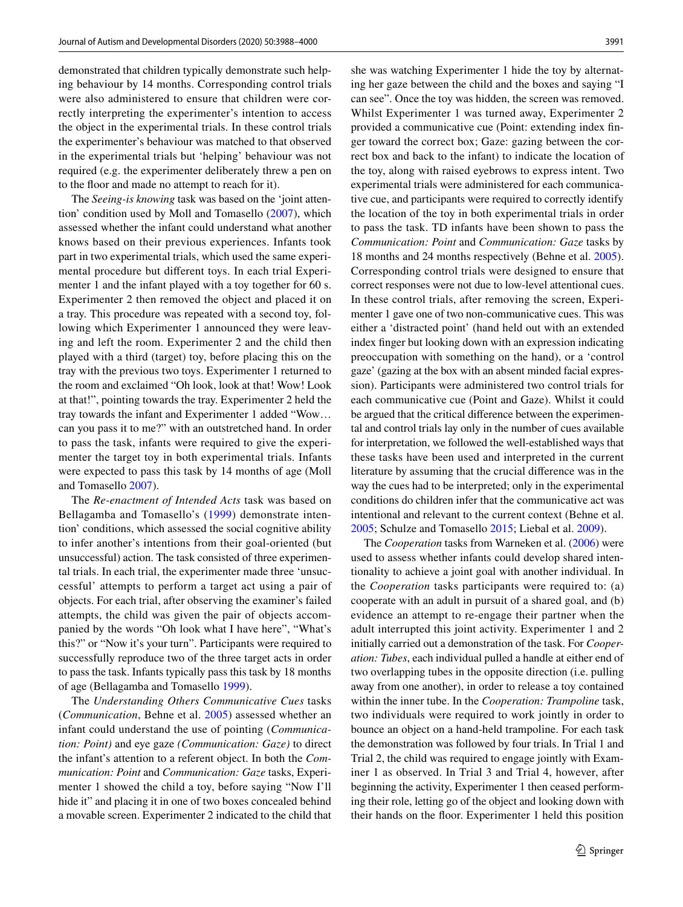demonstrated that children typically demonstrate such helping behaviour by 14 months. Corresponding control trials were also administered to ensure that children were correctly interpreting the experimenter's intention to access the object in the experimental trials. In these control trials the experimenter's behaviour was matched to that observed in the experimental trials but 'helping' behaviour was not required (e.g. the experimenter deliberately threw a pen on to the foor and made no attempt to reach for it).

The *Seeing-is knowing* task was based on the 'joint attention' condition used by Moll and Tomasello ([2007\)](#page-11-21), which assessed whether the infant could understand what another knows based on their previous experiences. Infants took part in two experimental trials, which used the same experimental procedure but diferent toys. In each trial Experimenter 1 and the infant played with a toy together for 60 s. Experimenter 2 then removed the object and placed it on a tray. This procedure was repeated with a second toy, following which Experimenter 1 announced they were leaving and left the room. Experimenter 2 and the child then played with a third (target) toy, before placing this on the tray with the previous two toys. Experimenter 1 returned to the room and exclaimed "Oh look, look at that! Wow! Look at that!", pointing towards the tray. Experimenter 2 held the tray towards the infant and Experimenter 1 added "Wow… can you pass it to me?" with an outstretched hand. In order to pass the task, infants were required to give the experimenter the target toy in both experimental trials. Infants were expected to pass this task by 14 months of age (Moll and Tomasello [2007](#page-11-21)).

The *Re-enactment of Intended Acts* task was based on Bellagamba and Tomasello's [\(1999](#page-11-22)) demonstrate intention' conditions, which assessed the social cognitive ability to infer another's intentions from their goal-oriented (but unsuccessful) action. The task consisted of three experimental trials. In each trial, the experimenter made three 'unsuccessful' attempts to perform a target act using a pair of objects. For each trial, after observing the examiner's failed attempts, the child was given the pair of objects accompanied by the words "Oh look what I have here", "What's this?" or "Now it's your turn". Participants were required to successfully reproduce two of the three target acts in order to pass the task. Infants typically pass this task by 18 months of age (Bellagamba and Tomasello [1999](#page-11-22)).

The *Understanding Others Communicative Cues* tasks (*Communication*, Behne et al. [2005](#page-11-14)) assessed whether an infant could understand the use of pointing (*Communication: Point)* and eye gaze *(Communication: Gaze)* to direct the infant's attention to a referent object. In both the *Communication: Point* and *Communication: Gaze* tasks, Experimenter 1 showed the child a toy, before saying "Now I'll hide it" and placing it in one of two boxes concealed behind a movable screen. Experimenter 2 indicated to the child that she was watching Experimenter 1 hide the toy by alternating her gaze between the child and the boxes and saying "I can see". Once the toy was hidden, the screen was removed. Whilst Experimenter 1 was turned away, Experimenter 2 provided a communicative cue (Point: extending index fnger toward the correct box; Gaze: gazing between the correct box and back to the infant) to indicate the location of the toy, along with raised eyebrows to express intent. Two experimental trials were administered for each communicative cue, and participants were required to correctly identify the location of the toy in both experimental trials in order to pass the task. TD infants have been shown to pass the *Communication: Point* and *Communication: Gaze* tasks by 18 months and 24 months respectively (Behne et al. [2005](#page-11-14)). Corresponding control trials were designed to ensure that correct responses were not due to low-level attentional cues. In these control trials, after removing the screen, Experimenter 1 gave one of two non-communicative cues. This was either a 'distracted point' (hand held out with an extended index fnger but looking down with an expression indicating preoccupation with something on the hand), or a 'control gaze' (gazing at the box with an absent minded facial expression). Participants were administered two control trials for each communicative cue (Point and Gaze). Whilst it could be argued that the critical diference between the experimental and control trials lay only in the number of cues available for interpretation, we followed the well-established ways that these tasks have been used and interpreted in the current literature by assuming that the crucial diference was in the way the cues had to be interpreted; only in the experimental conditions do children infer that the communicative act was intentional and relevant to the current context (Behne et al. [2005](#page-11-14); Schulze and Tomasello [2015;](#page-12-13) Liebal et al. [2009\)](#page-11-15).

The *Cooperation* tasks from Warneken et al. [\(2006](#page-12-14)) were used to assess whether infants could develop shared intentionality to achieve a joint goal with another individual. In the *Cooperation* tasks participants were required to: (a) cooperate with an adult in pursuit of a shared goal, and (b) evidence an attempt to re-engage their partner when the adult interrupted this joint activity. Experimenter 1 and 2 initially carried out a demonstration of the task. For *Cooperation: Tubes*, each individual pulled a handle at either end of two overlapping tubes in the opposite direction (i.e. pulling away from one another), in order to release a toy contained within the inner tube. In the *Cooperation: Trampoline* task, two individuals were required to work jointly in order to bounce an object on a hand-held trampoline. For each task the demonstration was followed by four trials. In Trial 1 and Trial 2, the child was required to engage jointly with Examiner 1 as observed. In Trial 3 and Trial 4, however, after beginning the activity, Experimenter 1 then ceased performing their role, letting go of the object and looking down with their hands on the foor. Experimenter 1 held this position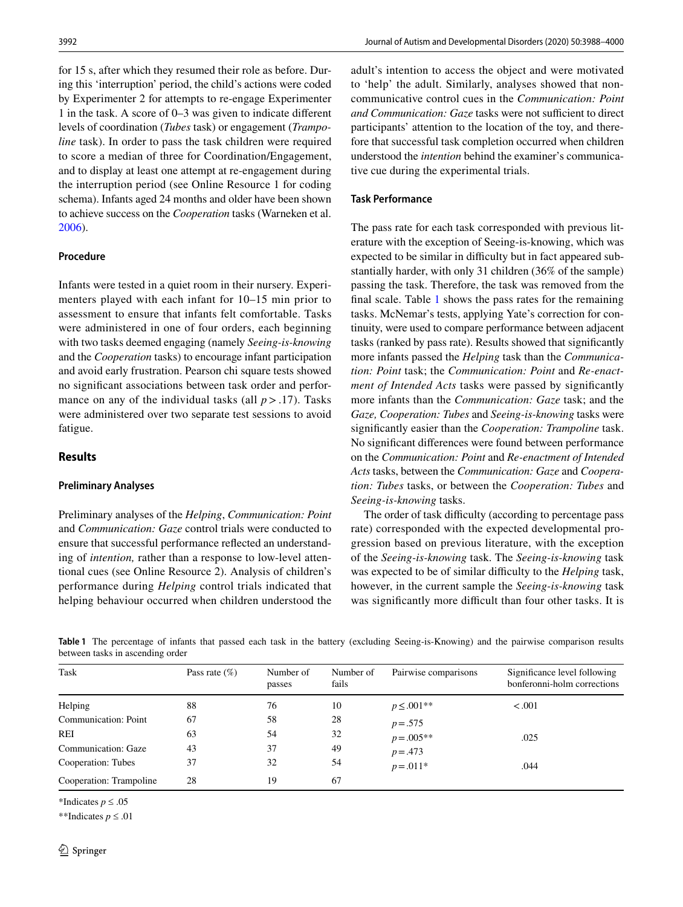for 15 s, after which they resumed their role as before. During this 'interruption' period, the child's actions were coded by Experimenter 2 for attempts to re-engage Experimenter 1 in the task. A score of 0–3 was given to indicate diferent levels of coordination (*Tubes* task) or engagement (*Trampoline* task). In order to pass the task children were required to score a median of three for Coordination/Engagement, and to display at least one attempt at re-engagement during the interruption period (see Online Resource 1 for coding schema). Infants aged 24 months and older have been shown to achieve success on the *Cooperation* tasks (Warneken et al. [2006](#page-12-14)).

#### **Procedure**

Infants were tested in a quiet room in their nursery. Experimenters played with each infant for 10–15 min prior to assessment to ensure that infants felt comfortable. Tasks were administered in one of four orders, each beginning with two tasks deemed engaging (namely *Seeing-is-knowing* and the *Cooperation* tasks) to encourage infant participation and avoid early frustration. Pearson chi square tests showed no signifcant associations between task order and performance on any of the individual tasks (all  $p > .17$ ). Tasks were administered over two separate test sessions to avoid fatigue.

## **Results**

#### **Preliminary Analyses**

Preliminary analyses of the *Helping*, *Communication: Point* and *Communication: Gaze* control trials were conducted to ensure that successful performance refected an understanding of *intention,* rather than a response to low-level attentional cues (see Online Resource 2). Analysis of children's performance during *Helping* control trials indicated that helping behaviour occurred when children understood the

adult's intention to access the object and were motivated to 'help' the adult. Similarly, analyses showed that noncommunicative control cues in the *Communication: Point and Communication: Gaze* tasks were not sufficient to direct participants' attention to the location of the toy, and therefore that successful task completion occurred when children understood the *intention* behind the examiner's communicative cue during the experimental trials.

#### **Task Performance**

The pass rate for each task corresponded with previous literature with the exception of Seeing-is-knowing, which was expected to be similar in difficulty but in fact appeared substantially harder, with only 31 children (36% of the sample) passing the task. Therefore, the task was removed from the fnal scale. Table [1](#page-4-0) shows the pass rates for the remaining tasks. McNemar's tests, applying Yate's correction for continuity, were used to compare performance between adjacent tasks (ranked by pass rate). Results showed that signifcantly more infants passed the *Helping* task than the *Communication: Point* task; the *Communication: Point* and *Re-enactment of Intended Acts* tasks were passed by signifcantly more infants than the *Communication: Gaze* task; and the *Gaze, Cooperation: Tubes* and *Seeing-is-knowing* tasks were signifcantly easier than the *Cooperation: Trampoline* task. No signifcant diferences were found between performance on the *Communication: Point* and *Re-enactment of Intended Acts* tasks, between the *Communication: Gaze* and *Cooperation: Tubes* tasks, or between the *Cooperation: Tubes* and *Seeing-is-knowing* tasks.

The order of task difficulty (according to percentage pass rate) corresponded with the expected developmental progression based on previous literature, with the exception of the *Seeing-is-knowing* task. The *Seeing-is-knowing* task was expected to be of similar difficulty to the *Helping* task, however, in the current sample the *Seeing-is-knowing* task was significantly more difficult than four other tasks. It is

<span id="page-4-0"></span>**Table 1** The percentage of infants that passed each task in the battery (excluding Seeing-is-Knowing) and the pairwise comparison results between tasks in ascending order

| Task                    | Pass rate $(\%)$ | Number of<br>passes | Number of<br>fails | Pairwise comparisons       | Significance level following<br>bonferonni-holm corrections |
|-------------------------|------------------|---------------------|--------------------|----------------------------|-------------------------------------------------------------|
| Helping                 | 88               | 76                  | 10                 | $p \leq .001**$            | $-.001$                                                     |
| Communication: Point    | 67               | 58                  | 28                 |                            |                                                             |
| REI                     | 63               | 54                  | 32                 | $p = .575$<br>$p = .005**$ | .025                                                        |
| Communication: Gaze     | 43               | 37                  | 49                 | $p = .473$                 |                                                             |
| Cooperation: Tubes      | 37               | 32                  | 54                 | $p = .011*$                | .044                                                        |
| Cooperation: Trampoline | 28               | 19                  | 67                 |                            |                                                             |

\*Indicates *p* ≤ .05

\*\*Indicates *p* ≤ .01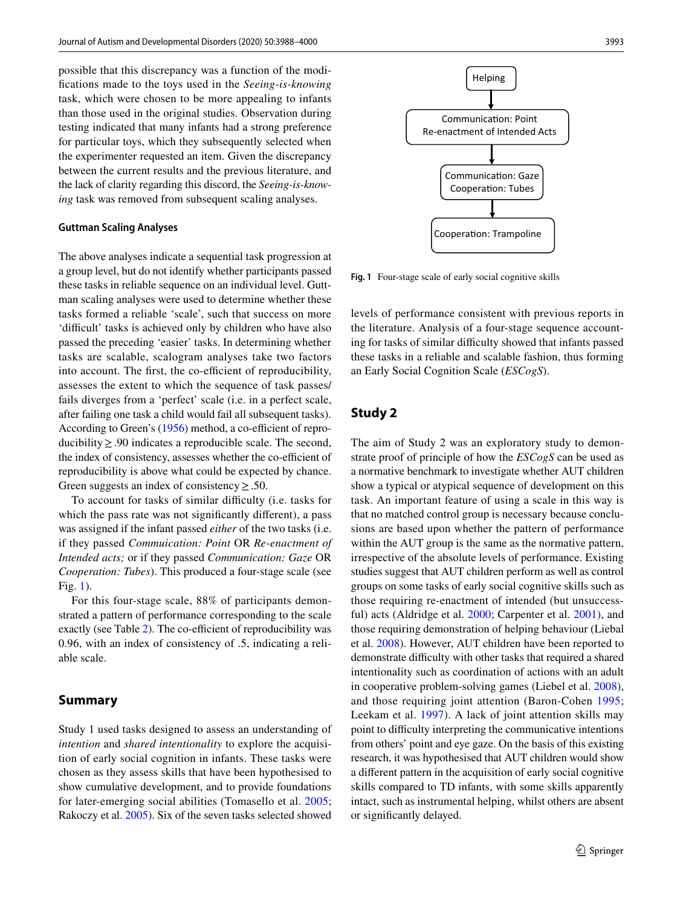possible that this discrepancy was a function of the modifcations made to the toys used in the *Seeing-is-knowing* task, which were chosen to be more appealing to infants than those used in the original studies. Observation during testing indicated that many infants had a strong preference for particular toys, which they subsequently selected when the experimenter requested an item. Given the discrepancy between the current results and the previous literature, and the lack of clarity regarding this discord, the *Seeing-is-knowing* task was removed from subsequent scaling analyses.

#### **Guttman Scaling Analyses**

The above analyses indicate a sequential task progression at a group level, but do not identify whether participants passed these tasks in reliable sequence on an individual level. Guttman scaling analyses were used to determine whether these tasks formed a reliable 'scale', such that success on more 'difficult' tasks is achieved only by children who have also passed the preceding 'easier' tasks. In determining whether tasks are scalable, scalogram analyses take two factors into account. The first, the co-efficient of reproducibility, assesses the extent to which the sequence of task passes/ fails diverges from a 'perfect' scale (i.e. in a perfect scale, after failing one task a child would fail all subsequent tasks). According to Green's [\(1956\)](#page-11-24) method, a co-efficient of reproducibility≥.90 indicates a reproducible scale. The second, the index of consistency, assesses whether the co-efficient of reproducibility is above what could be expected by chance. Green suggests an index of consistency  $\geq$  .50.

To account for tasks of similar difficulty (i.e. tasks for which the pass rate was not signifcantly diferent), a pass was assigned if the infant passed *either* of the two tasks (i.e. if they passed *Commuication: Point* OR *Re-enactment of Intended acts;* or if they passed *Communication: Gaze* OR *Cooperation: Tubes*). This produced a four-stage scale (see Fig. [1](#page-5-0)).

For this four-stage scale, 88% of participants demonstrated a pattern of performance corresponding to the scale exactly (see Table [2](#page-6-0)). The co-efficient of reproducibility was 0.96, with an index of consistency of .5, indicating a reliable scale.

## **Summary**

Study 1 used tasks designed to assess an understanding of *intention* and *shared intentionality* to explore the acquisition of early social cognition in infants. These tasks were chosen as they assess skills that have been hypothesised to show cumulative development, and to provide foundations for later-emerging social abilities (Tomasello et al. [2005](#page-12-7); Rakoczy et al. [2005](#page-11-12)). Six of the seven tasks selected showed



<span id="page-5-0"></span>**Fig. 1** Four-stage scale of early social cognitive skills

levels of performance consistent with previous reports in the literature. Analysis of a four-stage sequence accounting for tasks of similar difficulty showed that infants passed these tasks in a reliable and scalable fashion, thus forming an Early Social Cognition Scale (*ESCogS*).

# **Study 2**

The aim of Study 2 was an exploratory study to demonstrate proof of principle of how the *ESCogS* can be used as a normative benchmark to investigate whether AUT children show a typical or atypical sequence of development on this task. An important feature of using a scale in this way is that no matched control group is necessary because conclusions are based upon whether the pattern of performance within the AUT group is the same as the normative pattern, irrespective of the absolute levels of performance. Existing studies suggest that AUT children perform as well as control groups on some tasks of early social cognitive skills such as those requiring re-enactment of intended (but unsuccessful) acts (Aldridge et al. [2000](#page-10-1); Carpenter et al. [2001\)](#page-11-25), and those requiring demonstration of helping behaviour (Liebal et al. [2008\)](#page-11-26). However, AUT children have been reported to demonstrate difficulty with other tasks that required a shared intentionality such as coordination of actions with an adult in cooperative problem-solving games (Liebel et al. [2008](#page-11-26)), and those requiring joint attention (Baron-Cohen [1995](#page-11-1); Leekam et al. [1997](#page-11-27)). A lack of joint attention skills may point to difficulty interpreting the communicative intentions from others' point and eye gaze. On the basis of this existing research, it was hypothesised that AUT children would show a diferent pattern in the acquisition of early social cognitive skills compared to TD infants, with some skills apparently intact, such as instrumental helping, whilst others are absent or signifcantly delayed.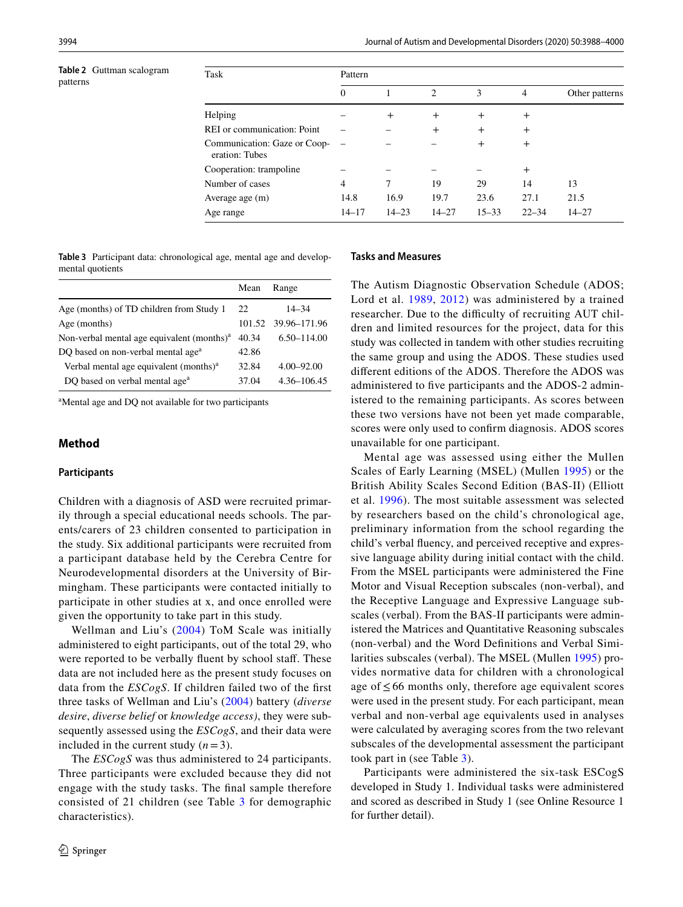<span id="page-6-0"></span>**Table 2** Guttman scalogram patterns

| Task                                           | Pattern        |           |                |           |           |                |  |
|------------------------------------------------|----------------|-----------|----------------|-----------|-----------|----------------|--|
|                                                | $\mathbf{0}$   |           | $\overline{c}$ | 3         | 4         | Other patterns |  |
| Helping                                        |                | $\pm$     | $^{+}$         | $^+$      | $\pm$     |                |  |
| REI or communication: Point                    |                |           | $^{+}$         | $^+$      | $^{+}$    |                |  |
| Communication: Gaze or Coop-<br>eration: Tubes |                |           |                | $^{+}$    | $^{+}$    |                |  |
| Cooperation: trampoline                        |                |           |                |           | $^+$      |                |  |
| Number of cases                                | $\overline{4}$ | 7         | 19             | 29        | 14        | 13             |  |
| Average age (m)                                | 14.8           | 16.9      | 19.7           | 23.6      | 27.1      | 21.5           |  |
| Age range                                      | $14 - 17$      | $14 - 23$ | $14 - 27$      | $15 - 33$ | $22 - 34$ | $14 - 27$      |  |

<span id="page-6-1"></span>**Table 3** Participant data: chronological age, mental age and developmental quotients

|                                                        | Mean  | Range               |
|--------------------------------------------------------|-------|---------------------|
| Age (months) of TD children from Study 1               | 22    | $14 - 34$           |
| Age (months)                                           |       | 101.52 39.96-171.96 |
| Non-verbal mental age equivalent (months) <sup>a</sup> | 40.34 | $6.50 - 114.00$     |
| DO based on non-verbal mental age <sup>a</sup>         | 42.86 |                     |
| Verbal mental age equivalent (months) <sup>a</sup>     | 32.84 | $4.00 - 92.00$      |
| DO based on verbal mental age <sup>a</sup>             | 37.04 | 4.36–106.45         |

<sup>a</sup>Mental age and DQ not available for two participants

## **Method**

#### **Participants**

Children with a diagnosis of ASD were recruited primarily through a special educational needs schools. The parents/carers of 23 children consented to participation in the study. Six additional participants were recruited from a participant database held by the Cerebra Centre for Neurodevelopmental disorders at the University of Birmingham. These participants were contacted initially to participate in other studies at x, and once enrolled were given the opportunity to take part in this study.

Wellman and Liu's ([2004](#page-12-5)) ToM Scale was initially administered to eight participants, out of the total 29, who were reported to be verbally fuent by school staf. These data are not included here as the present study focuses on data from the *ESCogS*. If children failed two of the frst three tasks of Wellman and Liu's ([2004](#page-12-5)) battery (*diverse desire*, *diverse belief* or *knowledge access)*, they were subsequently assessed using the *ESCogS*, and their data were included in the current study  $(n=3)$ .

The *ESCogS* was thus administered to 24 participants. Three participants were excluded because they did not engage with the study tasks. The fnal sample therefore consisted of 21 children (see Table [3](#page-6-1) for demographic characteristics).

#### **Tasks and Measures**

The Autism Diagnostic Observation Schedule (ADOS; Lord et al. [1989,](#page-11-28) [2012](#page-11-29)) was administered by a trained researcher. Due to the difficulty of recruiting AUT children and limited resources for the project, data for this study was collected in tandem with other studies recruiting the same group and using the ADOS. These studies used diferent editions of the ADOS. Therefore the ADOS was administered to fve participants and the ADOS-2 administered to the remaining participants. As scores between these two versions have not been yet made comparable, scores were only used to confrm diagnosis. ADOS scores unavailable for one participant.

Mental age was assessed using either the Mullen Scales of Early Learning (MSEL) (Mullen [1995\)](#page-11-30) or the British Ability Scales Second Edition (BAS-II) (Elliott et al. [1996\)](#page-11-31). The most suitable assessment was selected by researchers based on the child's chronological age, preliminary information from the school regarding the child's verbal fuency, and perceived receptive and expressive language ability during initial contact with the child. From the MSEL participants were administered the Fine Motor and Visual Reception subscales (non-verbal), and the Receptive Language and Expressive Language subscales (verbal). From the BAS-II participants were administered the Matrices and Quantitative Reasoning subscales (non-verbal) and the Word Defnitions and Verbal Similarities subscales (verbal). The MSEL (Mullen [1995](#page-11-30)) provides normative data for children with a chronological age of≤66 months only, therefore age equivalent scores were used in the present study. For each participant, mean verbal and non-verbal age equivalents used in analyses were calculated by averaging scores from the two relevant subscales of the developmental assessment the participant took part in (see Table [3\)](#page-6-1).

Participants were administered the six-task ESCogS developed in Study 1. Individual tasks were administered and scored as described in Study 1 (see Online Resource 1 for further detail).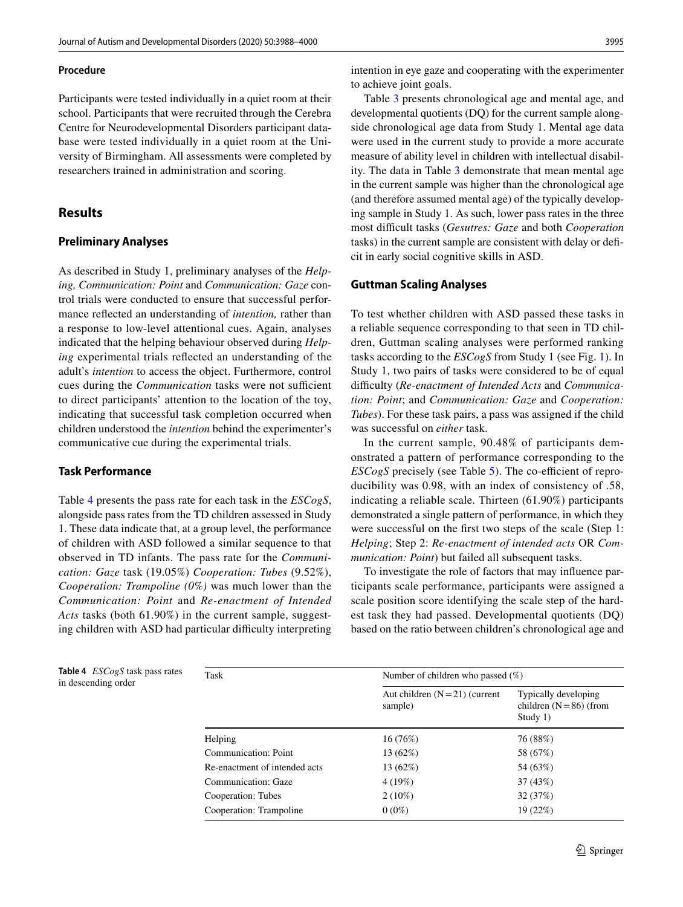#### **Procedure**

Participants were tested individually in a quiet room at their school. Participants that were recruited through the Cerebra Centre for Neurodevelopmental Disorders participant database were tested individually in a quiet room at the University of Birmingham. All assessments were completed by researchers trained in administration and scoring.

# **Results**

## **Preliminary Analyses**

As described in Study 1, preliminary analyses of the *Helping, Communication: Point* and *Communication: Gaze* control trials were conducted to ensure that successful performance refected an understanding of *intention,* rather than a response to low-level attentional cues. Again, analyses indicated that the helping behaviour observed during *Helping* experimental trials refected an understanding of the adult's *intention* to access the object. Furthermore, control cues during the *Communication* tasks were not sufficient to direct participants' attention to the location of the toy, indicating that successful task completion occurred when children understood the *intention* behind the experimenter's communicative cue during the experimental trials.

# **Task Performance**

Table [4](#page-7-0) presents the pass rate for each task in the *ESCogS*, alongside pass rates from the TD children assessed in Study 1. These data indicate that, at a group level, the performance of children with ASD followed a similar sequence to that observed in TD infants. The pass rate for the *Communication: Gaze* task (19.05%) *Cooperation: Tubes* (9.52%), *Cooperation: Trampoline (0%)* was much lower than the *Communication: Point* and *Re-enactment of Intended Acts* tasks (both 61.90%) in the current sample, suggesting children with ASD had particular difficulty interpreting

intention in eye gaze and cooperating with the experimenter to achieve joint goals.

Table [3](#page-6-1) presents chronological age and mental age, and developmental quotients (DQ) for the current sample alongside chronological age data from Study 1. Mental age data were used in the current study to provide a more accurate measure of ability level in children with intellectual disability. The data in Table [3](#page-6-1) demonstrate that mean mental age in the current sample was higher than the chronological age (and therefore assumed mental age) of the typically developing sample in Study 1. As such, lower pass rates in the three most difcult tasks (*Gesutres: Gaze* and both *Cooperation* tasks) in the current sample are consistent with delay or defcit in early social cognitive skills in ASD.

# **Guttman Scaling Analyses**

To test whether children with ASD passed these tasks in a reliable sequence corresponding to that seen in TD children, Guttman scaling analyses were performed ranking tasks according to the *ESCogS* from Study 1 (see Fig. [1\)](#page-5-0). In Study 1, two pairs of tasks were considered to be of equal difficulty (Re-enactment of Intended Acts and *Communication: Point*; and *Communication: Gaze* and *Cooperation: Tubes*). For these task pairs, a pass was assigned if the child was successful on *either* task.

In the current sample, 90.48% of participants demonstrated a pattern of performance corresponding to the  $ESCogS$  precisely (see Table [5\)](#page-8-0). The co-efficient of reproducibility was 0.98, with an index of consistency of .58, indicating a reliable scale. Thirteen (61.90%) participants demonstrated a single pattern of performance, in which they were successful on the frst two steps of the scale (Step 1: *Helping*; Step 2: *Re-enactment of intended acts* OR *Communication: Point*) but failed all subsequent tasks.

To investigate the role of factors that may infuence participants scale performance, participants were assigned a scale position score identifying the scale step of the hardest task they had passed. Developmental quotients (DQ) based on the ratio between children's chronological age and

<span id="page-7-0"></span>**Table 4** *ESCogS* task pass rates in descending order

| Task                          | Number of children who passed $(\%)$      |                                                               |  |  |  |
|-------------------------------|-------------------------------------------|---------------------------------------------------------------|--|--|--|
|                               | Aut children $(N=21)$ (current<br>sample) | Typically developing<br>children $(N = 86)$ (from<br>Study 1) |  |  |  |
| Helping                       | 16(76%)                                   | 76 (88%)                                                      |  |  |  |
| Communication: Point          | 13(62%)                                   | 58 (67%)                                                      |  |  |  |
| Re-enactment of intended acts | 13 (62%)                                  | 54 (63%)                                                      |  |  |  |
| Communication: Gaze           | 4(19%)                                    | 37 (43%)                                                      |  |  |  |
| Cooperation: Tubes            | $2(10\%)$                                 | 32 (37%)                                                      |  |  |  |
| Cooperation: Trampoline       | $0(0\%)$                                  | 19(22%)                                                       |  |  |  |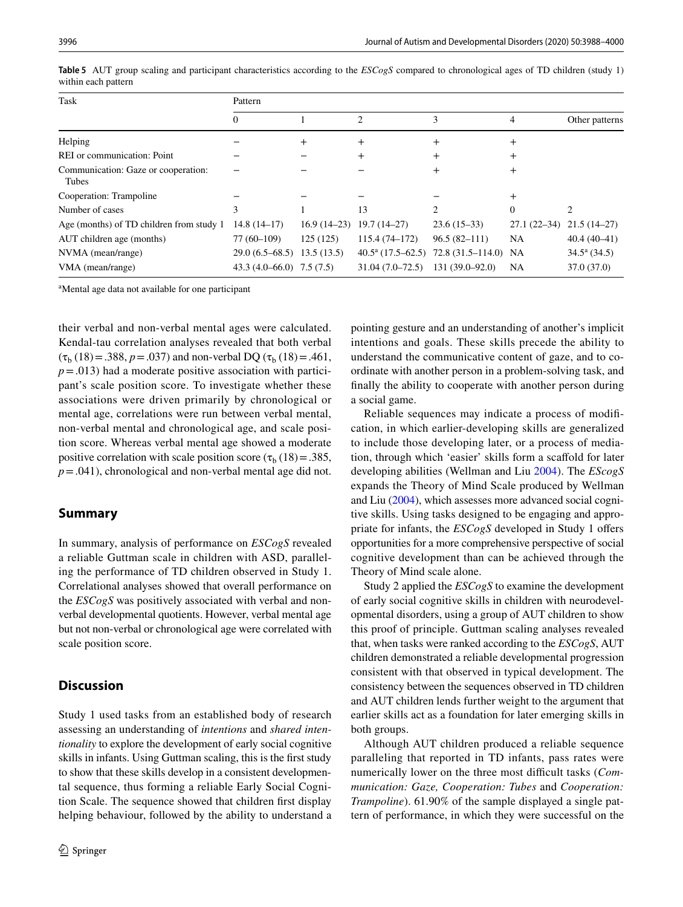| Task                                                | Pattern                      |               |                     |                                          |                             |                       |  |
|-----------------------------------------------------|------------------------------|---------------|---------------------|------------------------------------------|-----------------------------|-----------------------|--|
|                                                     | 0                            |               |                     |                                          | 4                           | Other patterns        |  |
| Helping                                             |                              | $^{+}$        | $^+$                | $^+$                                     | ┿                           |                       |  |
| REI or communication: Point                         |                              |               | $^+$                |                                          | ┿                           |                       |  |
| Communication: Gaze or cooperation:<br><b>Tubes</b> |                              |               |                     |                                          | ┿                           |                       |  |
| Cooperation: Trampoline                             |                              |               |                     |                                          | $\pm$                       |                       |  |
| Number of cases                                     | 3                            |               | 13                  |                                          | $\Omega$                    | 2                     |  |
| Age (months) of TD children from study 1            | $14.8(14-17)$                | $16.9(14-23)$ | 19.7 (14–27)        | $23.6(15-33)$                            | $27.1(22-34)$ $21.5(14-27)$ |                       |  |
| AUT children age (months)                           | $77(60-109)$                 | 125(125)      | $115.4(74-172)$     | $96.5(82 - 111)$                         | <b>NA</b>                   | $40.4(40-41)$         |  |
| NVMA (mean/range)                                   | $29.0(6.5-68.5)$ 13.5 (13.5) |               |                     | $40.5^a(17.5-62.5)$ 72.8 (31.5-114.0) NA |                             | $34.5^{\rm a}$ (34.5) |  |
| VMA (mean/range)                                    | $43.3(4.0-66.0)$ 7.5 (7.5)   |               | $31.04(7.0 - 72.5)$ | $131(39.0-92.0)$                         | <b>NA</b>                   | 37.0(37.0)            |  |

<span id="page-8-0"></span>**Table 5** AUT group scaling and participant characteristics according to the *ESCogS* compared to chronological ages of TD children (study 1) within each pattern

a Mental age data not available for one participant

their verbal and non-verbal mental ages were calculated. Kendal-tau correlation analyses revealed that both verbal  $(\tau_{\rm b} (18) = .388, p = .037)$  and non-verbal DQ  $(\tau_{\rm b} (18) = .461,$  $p = .013$ ) had a moderate positive association with participant's scale position score. To investigate whether these associations were driven primarily by chronological or mental age, correlations were run between verbal mental, non-verbal mental and chronological age, and scale position score. Whereas verbal mental age showed a moderate positive correlation with scale position score ( $\tau_b$  (18)=.385, *p*=.041), chronological and non-verbal mental age did not.

# **Summary**

In summary, analysis of performance on *ESCogS* revealed a reliable Guttman scale in children with ASD, paralleling the performance of TD children observed in Study 1. Correlational analyses showed that overall performance on the *ESCogS* was positively associated with verbal and nonverbal developmental quotients. However, verbal mental age but not non-verbal or chronological age were correlated with scale position score.

# **Discussion**

Study 1 used tasks from an established body of research assessing an understanding of *intentions* and *shared intentionality* to explore the development of early social cognitive skills in infants. Using Guttman scaling, this is the frst study to show that these skills develop in a consistent developmental sequence, thus forming a reliable Early Social Cognition Scale. The sequence showed that children frst display helping behaviour, followed by the ability to understand a pointing gesture and an understanding of another's implicit intentions and goals. These skills precede the ability to understand the communicative content of gaze, and to coordinate with another person in a problem-solving task, and fnally the ability to cooperate with another person during a social game.

Reliable sequences may indicate a process of modifcation, in which earlier-developing skills are generalized to include those developing later, or a process of mediation, through which 'easier' skills form a scafold for later developing abilities (Wellman and Liu [2004](#page-12-5)). The *EScogS* expands the Theory of Mind Scale produced by Wellman and Liu [\(2004\)](#page-12-5), which assesses more advanced social cognitive skills. Using tasks designed to be engaging and appropriate for infants, the *ESCogS* developed in Study 1 offers opportunities for a more comprehensive perspective of social cognitive development than can be achieved through the Theory of Mind scale alone.

Study 2 applied the *ESCogS* to examine the development of early social cognitive skills in children with neurodevelopmental disorders, using a group of AUT children to show this proof of principle. Guttman scaling analyses revealed that, when tasks were ranked according to the *ESCogS*, AUT children demonstrated a reliable developmental progression consistent with that observed in typical development. The consistency between the sequences observed in TD children and AUT children lends further weight to the argument that earlier skills act as a foundation for later emerging skills in both groups.

Although AUT children produced a reliable sequence paralleling that reported in TD infants, pass rates were numerically lower on the three most difficult tasks (*Communication: Gaze, Cooperation: Tubes* and *Cooperation: Trampoline*). 61.90% of the sample displayed a single pattern of performance, in which they were successful on the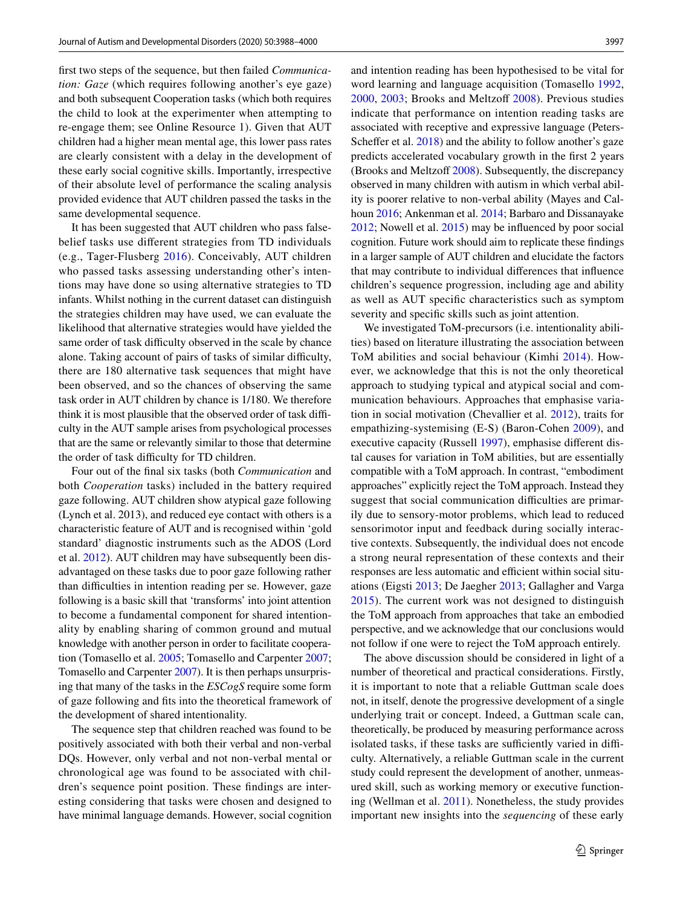frst two steps of the sequence, but then failed *Communication: Gaze* (which requires following another's eye gaze) and both subsequent Cooperation tasks (which both requires the child to look at the experimenter when attempting to re-engage them; see Online Resource 1). Given that AUT children had a higher mean mental age, this lower pass rates are clearly consistent with a delay in the development of these early social cognitive skills. Importantly, irrespective of their absolute level of performance the scaling analysis provided evidence that AUT children passed the tasks in the same developmental sequence.

It has been suggested that AUT children who pass falsebelief tasks use diferent strategies from TD individuals (e.g., Tager-Flusberg [2016\)](#page-12-17). Conceivably, AUT children who passed tasks assessing understanding other's intentions may have done so using alternative strategies to TD infants. Whilst nothing in the current dataset can distinguish the strategies children may have used, we can evaluate the likelihood that alternative strategies would have yielded the same order of task difficulty observed in the scale by chance alone. Taking account of pairs of tasks of similar difficulty, there are 180 alternative task sequences that might have been observed, and so the chances of observing the same task order in AUT children by chance is 1/180. We therefore think it is most plausible that the observed order of task difficulty in the AUT sample arises from psychological processes that are the same or relevantly similar to those that determine the order of task difficulty for TD children.

Four out of the fnal six tasks (both *Communication* and both *Cooperation* tasks) included in the battery required gaze following. AUT children show atypical gaze following (Lynch et al. 2013), and reduced eye contact with others is a characteristic feature of AUT and is recognised within 'gold standard' diagnostic instruments such as the ADOS (Lord et al. [2012\)](#page-11-29). AUT children may have subsequently been disadvantaged on these tasks due to poor gaze following rather than difficulties in intention reading per se. However, gaze following is a basic skill that 'transforms' into joint attention to become a fundamental component for shared intentionality by enabling sharing of common ground and mutual knowledge with another person in order to facilitate cooperation (Tomasello et al. [2005](#page-12-7); Tomasello and Carpenter [2007](#page-12-18); Tomasello and Carpenter [2007\)](#page-12-18). It is then perhaps unsurprising that many of the tasks in the *ESCogS* require some form of gaze following and fts into the theoretical framework of the development of shared intentionality.

The sequence step that children reached was found to be positively associated with both their verbal and non-verbal DQs. However, only verbal and not non-verbal mental or chronological age was found to be associated with children's sequence point position. These fndings are interesting considering that tasks were chosen and designed to have minimal language demands. However, social cognition and intention reading has been hypothesised to be vital for word learning and language acquisition (Tomasello [1992,](#page-12-19) [2000,](#page-12-20) [2003;](#page-12-21) Brooks and Meltzoff [2008\)](#page-11-32). Previous studies indicate that performance on intention reading tasks are associated with receptive and expressive language (Peters-Scheffer et al. [2018](#page-11-33)) and the ability to follow another's gaze predicts accelerated vocabulary growth in the frst 2 years (Brooks and Meltzoff [2008\)](#page-11-32). Subsequently, the discrepancy observed in many children with autism in which verbal ability is poorer relative to non-verbal ability (Mayes and Calhoun [2016;](#page-11-34) Ankenman et al. [2014](#page-10-2); Barbaro and Dissanayake [2012](#page-11-35); Nowell et al. [2015](#page-11-36)) may be infuenced by poor social cognition. Future work should aim to replicate these fndings in a larger sample of AUT children and elucidate the factors that may contribute to individual diferences that infuence children's sequence progression, including age and ability as well as AUT specifc characteristics such as symptom severity and specifc skills such as joint attention.

We investigated ToM-precursors (i.e. intentionality abilities) based on literature illustrating the association between ToM abilities and social behaviour (Kimhi [2014\)](#page-11-3). However, we acknowledge that this is not the only theoretical approach to studying typical and atypical social and communication behaviours. Approaches that emphasise variation in social motivation (Chevallier et al. [2012\)](#page-11-37), traits for empathizing-systemising (E-S) (Baron-Cohen [2009](#page-11-38)), and executive capacity (Russell [1997](#page-12-22)), emphasise diferent distal causes for variation in ToM abilities, but are essentially compatible with a ToM approach. In contrast, "embodiment approaches" explicitly reject the ToM approach. Instead they suggest that social communication difficulties are primarily due to sensory-motor problems, which lead to reduced sensorimotor input and feedback during socially interactive contexts. Subsequently, the individual does not encode a strong neural representation of these contexts and their responses are less automatic and efficient within social situations (Eigsti [2013;](#page-11-39) De Jaegher [2013;](#page-11-40) Gallagher and Varga [2015\)](#page-11-41). The current work was not designed to distinguish the ToM approach from approaches that take an embodied perspective, and we acknowledge that our conclusions would not follow if one were to reject the ToM approach entirely.

The above discussion should be considered in light of a number of theoretical and practical considerations. Firstly, it is important to note that a reliable Guttman scale does not, in itself, denote the progressive development of a single underlying trait or concept. Indeed, a Guttman scale can, theoretically, be produced by measuring performance across isolated tasks, if these tasks are sufficiently varied in difficulty. Alternatively, a reliable Guttman scale in the current study could represent the development of another, unmeasured skill, such as working memory or executive functioning (Wellman et al. [2011\)](#page-12-23). Nonetheless, the study provides important new insights into the *sequencing* of these early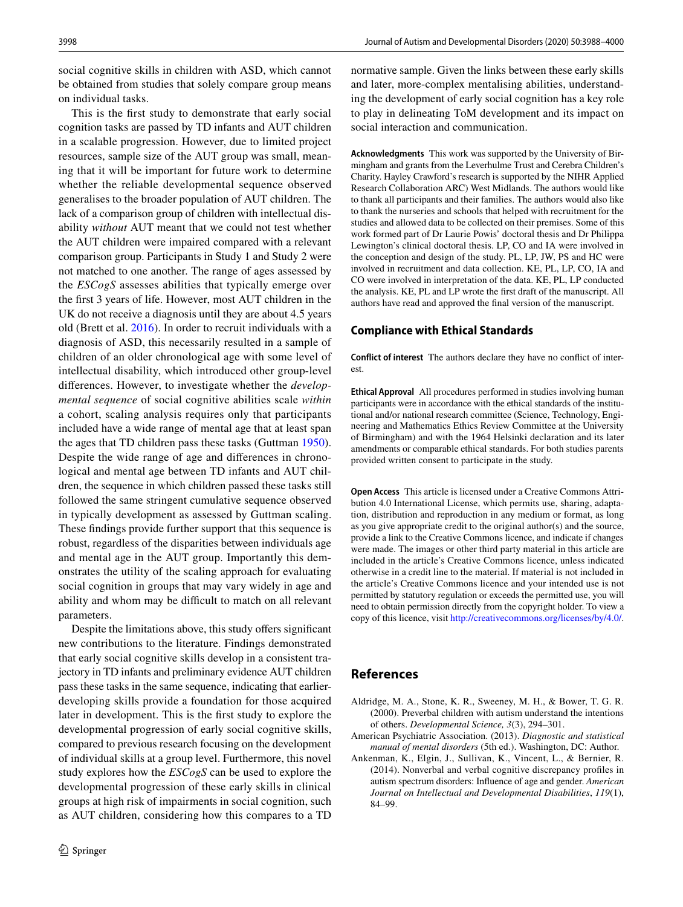social cognitive skills in children with ASD, which cannot be obtained from studies that solely compare group means on individual tasks.

This is the frst study to demonstrate that early social cognition tasks are passed by TD infants and AUT children in a scalable progression. However, due to limited project resources, sample size of the AUT group was small, meaning that it will be important for future work to determine whether the reliable developmental sequence observed generalises to the broader population of AUT children. The lack of a comparison group of children with intellectual disability *without* AUT meant that we could not test whether the AUT children were impaired compared with a relevant comparison group. Participants in Study 1 and Study 2 were not matched to one another. The range of ages assessed by the *ESCogS* assesses abilities that typically emerge over the frst 3 years of life. However, most AUT children in the UK do not receive a diagnosis until they are about 4.5 years old (Brett et al. [2016](#page-11-42)). In order to recruit individuals with a diagnosis of ASD, this necessarily resulted in a sample of children of an older chronological age with some level of intellectual disability, which introduced other group-level diferences. However, to investigate whether the *developmental sequence* of social cognitive abilities scale *within* a cohort, scaling analysis requires only that participants included have a wide range of mental age that at least span the ages that TD children pass these tasks (Guttman [1950](#page-11-43)). Despite the wide range of age and diferences in chronological and mental age between TD infants and AUT children, the sequence in which children passed these tasks still followed the same stringent cumulative sequence observed in typically development as assessed by Guttman scaling. These fndings provide further support that this sequence is robust, regardless of the disparities between individuals age and mental age in the AUT group. Importantly this demonstrates the utility of the scaling approach for evaluating social cognition in groups that may vary widely in age and ability and whom may be difficult to match on all relevant parameters.

Despite the limitations above, this study offers significant new contributions to the literature. Findings demonstrated that early social cognitive skills develop in a consistent trajectory in TD infants and preliminary evidence AUT children pass these tasks in the same sequence, indicating that earlierdeveloping skills provide a foundation for those acquired later in development. This is the frst study to explore the developmental progression of early social cognitive skills, compared to previous research focusing on the development of individual skills at a group level. Furthermore, this novel study explores how the *ESCogS* can be used to explore the developmental progression of these early skills in clinical groups at high risk of impairments in social cognition, such as AUT children, considering how this compares to a TD normative sample. Given the links between these early skills and later, more-complex mentalising abilities, understanding the development of early social cognition has a key role to play in delineating ToM development and its impact on social interaction and communication.

**Acknowledgments** This work was supported by the University of Birmingham and grants from the Leverhulme Trust and Cerebra Children's Charity. Hayley Crawford's research is supported by the NIHR Applied Research Collaboration ARC) West Midlands. The authors would like to thank all participants and their families. The authors would also like to thank the nurseries and schools that helped with recruitment for the studies and allowed data to be collected on their premises. Some of this work formed part of Dr Laurie Powis' doctoral thesis and Dr Philippa Lewington's clinical doctoral thesis. LP, CO and IA were involved in the conception and design of the study. PL, LP, JW, PS and HC were involved in recruitment and data collection. KE, PL, LP, CO, IA and CO were involved in interpretation of the data. KE, PL, LP conducted the analysis. KE, PL and LP wrote the frst draft of the manuscript. All authors have read and approved the fnal version of the manuscript.

#### **Compliance with Ethical Standards**

**Conflict of interest** The authors declare they have no confict of interest.

**Ethical Approval** All procedures performed in studies involving human participants were in accordance with the ethical standards of the institutional and/or national research committee (Science, Technology, Engineering and Mathematics Ethics Review Committee at the University of Birmingham) and with the 1964 Helsinki declaration and its later amendments or comparable ethical standards. For both studies parents provided written consent to participate in the study.

**Open Access** This article is licensed under a Creative Commons Attribution 4.0 International License, which permits use, sharing, adaptation, distribution and reproduction in any medium or format, as long as you give appropriate credit to the original author(s) and the source, provide a link to the Creative Commons licence, and indicate if changes were made. The images or other third party material in this article are included in the article's Creative Commons licence, unless indicated otherwise in a credit line to the material. If material is not included in the article's Creative Commons licence and your intended use is not permitted by statutory regulation or exceeds the permitted use, you will need to obtain permission directly from the copyright holder. To view a copy of this licence, visit<http://creativecommons.org/licenses/by/4.0/>.

# **References**

- <span id="page-10-1"></span>Aldridge, M. A., Stone, K. R., Sweeney, M. H., & Bower, T. G. R. (2000). Preverbal children with autism understand the intentions of others. *Developmental Science, 3*(3), 294–301.
- <span id="page-10-0"></span>American Psychiatric Association. (2013). *Diagnostic and statistical manual of mental disorders* (5th ed.). Washington, DC: Author.
- <span id="page-10-2"></span>Ankenman, K., Elgin, J., Sullivan, K., Vincent, L., & Bernier, R. (2014). Nonverbal and verbal cognitive discrepancy profles in autism spectrum disorders: Infuence of age and gender. *American Journal on Intellectual and Developmental Disabilities*, *119*(1), 84–99.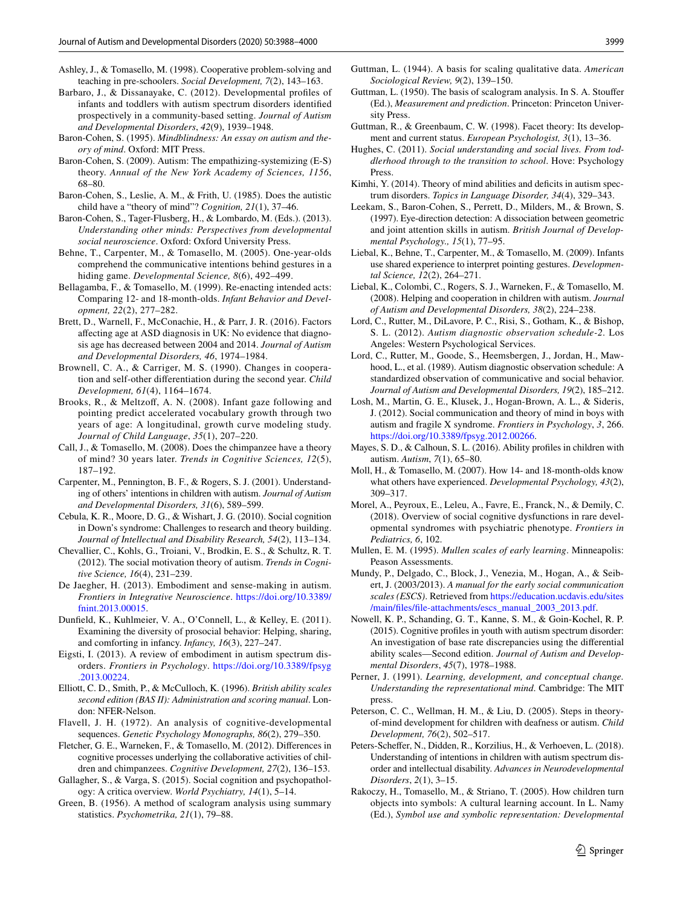- <span id="page-11-16"></span>Ashley, J., & Tomasello, M. (1998). Cooperative problem-solving and teaching in pre-schoolers. *Social Development, 7*(2), 143–163.
- <span id="page-11-35"></span>Barbaro, J., & Dissanayake, C. (2012). Developmental profles of infants and toddlers with autism spectrum disorders identifed prospectively in a community-based setting. *Journal of Autism and Developmental Disorders*, *42*(9), 1939–1948.
- <span id="page-11-1"></span>Baron-Cohen, S. (1995). *Mindblindness: An essay on autism and theory of mind*. Oxford: MIT Press.
- <span id="page-11-38"></span>Baron-Cohen, S. (2009). Autism: The empathizing-systemizing (E-S) theory. *Annual of the New York Academy of Sciences, 1156*, 68–80.
- <span id="page-11-2"></span>Baron-Cohen, S., Leslie, A. M., & Frith, U. (1985). Does the autistic child have a "theory of mind"? *Cognition, 21*(1), 37–46.
- <span id="page-11-0"></span>Baron-Cohen, S., Tager-Flusberg, H., & Lombardo, M. (Eds.). (2013). *Understanding other minds: Perspectives from developmental social neuroscience*. Oxford: Oxford University Press.
- <span id="page-11-14"></span>Behne, T., Carpenter, M., & Tomasello, M. (2005). One-year-olds comprehend the communicative intentions behind gestures in a hiding game. *Developmental Science, 8*(6), 492–499.
- <span id="page-11-22"></span>Bellagamba, F., & Tomasello, M. (1999). Re-enacting intended acts: Comparing 12- and 18-month-olds. *Infant Behavior and Development, 22*(2), 277–282.
- <span id="page-11-42"></span>Brett, D., Warnell, F., McConachie, H., & Parr, J. R. (2016). Factors afecting age at ASD diagnosis in UK: No evidence that diagnosis age has decreased between 2004 and 2014. *Journal of Autism and Developmental Disorders, 46*, 1974–1984.
- <span id="page-11-17"></span>Brownell, C. A., & Carriger, M. S. (1990). Changes in cooperation and self-other diferentiation during the second year. *Child Development, 61*(4), 1164–1674.
- <span id="page-11-32"></span>Brooks, R., & Meltzoff, A. N. (2008). Infant gaze following and pointing predict accelerated vocabulary growth through two years of age: A longitudinal, growth curve modeling study. *Journal of Child Language*, *35*(1), 207–220.
- <span id="page-11-19"></span>Call, J., & Tomasello, M. (2008). Does the chimpanzee have a theory of mind? 30 years later. *Trends in Cognitive Sciences, 12*(5), 187–192.
- <span id="page-11-25"></span>Carpenter, M., Pennington, B. F., & Rogers, S. J. (2001). Understanding of others' intentions in children with autism. *Journal of Autism and Developmental Disorders, 31*(6), 589–599.
- <span id="page-11-6"></span>Cebula, K. R., Moore, D. G., & Wishart, J. G. (2010). Social cognition in Down's syndrome: Challenges to research and theory building. *Journal of Intellectual and Disability Research, 54*(2), 113–134.
- <span id="page-11-37"></span>Chevallier, C., Kohls, G., Troiani, V., Brodkin, E. S., & Schultz, R. T. (2012). The social motivation theory of autism. *Trends in Cognitive Science, 16*(4), 231–239.
- <span id="page-11-40"></span>De Jaegher, H. (2013). Embodiment and sense-making in autism. *Frontiers in Integrative Neuroscience*. [https://doi.org/10.3389/](https://doi.org/10.3389/fnint.2013.00015) [fnint.2013.00015](https://doi.org/10.3389/fnint.2013.00015).
- <span id="page-11-13"></span>Dunfeld, K., Kuhlmeier, V. A., O'Connell, L., & Kelley, E. (2011). Examining the diversity of prosocial behavior: Helping, sharing, and comforting in infancy. *Infancy, 16*(3), 227–247.
- <span id="page-11-39"></span>Eigsti, I. (2013). A review of embodiment in autism spectrum disorders. *Frontiers in Psychology*. [https://doi.org/10.3389/fpsyg](https://doi.org/10.3389/fpsyg.2013.00224) [.2013.00224.](https://doi.org/10.3389/fpsyg.2013.00224)
- <span id="page-11-31"></span>Elliott, C. D., Smith, P., & McCulloch, K. (1996). *British ability scales second edition (BAS II): Administration and scoring manual*. London: NFER-Nelson.
- <span id="page-11-10"></span>Flavell, J. H. (1972). An analysis of cognitive-developmental sequences. *Genetic Psychology Monographs, 86*(2), 279–350.
- <span id="page-11-18"></span>Fletcher, G. E., Warneken, F., & Tomasello, M. (2012). Diferences in cognitive processes underlying the collaborative activities of children and chimpanzees. *Cognitive Development, 27*(2), 136–153.
- <span id="page-11-41"></span>Gallagher, S., & Varga, S. (2015). Social cognition and psychopathology: A critica overview. *World Psychiatry, 14*(1), 5–14.
- <span id="page-11-24"></span>Green, B. (1956). A method of scalogram analysis using summary statistics. *Psychometrika, 21*(1), 79–88.
- <span id="page-11-7"></span>Guttman, L. (1944). A basis for scaling qualitative data. *American Sociological Review, 9*(2), 139–150.
- <span id="page-11-43"></span>Guttman, L. (1950). The basis of scalogram analysis. In S. A. Stoufer (Ed.), *Measurement and prediction*. Princeton: Princeton University Press.
- <span id="page-11-8"></span>Guttman, R., & Greenbaum, C. W. (1998). Facet theory: Its development and current status. *European Psychologist, 3*(1), 13–36.
- <span id="page-11-23"></span>Hughes, C. (2011). *Social understanding and social lives. From toddlerhood through to the transition to school*. Hove: Psychology Press.
- <span id="page-11-3"></span>Kimhi, Y. (2014). Theory of mind abilities and deficits in autism spectrum disorders. *Topics in Language Disorder, 34*(4), 329–343.
- <span id="page-11-27"></span>Leekam, S., Baron-Cohen, S., Perrett, D., Milders, M., & Brown, S. (1997). Eye-direction detection: A dissociation between geometric and joint attention skills in autism. *British Journal of Developmental Psychology., 15*(1), 77–95.
- <span id="page-11-15"></span>Liebal, K., Behne, T., Carpenter, M., & Tomasello, M. (2009). Infants use shared experience to interpret pointing gestures. *Developmental Science, 12*(2), 264–271.
- <span id="page-11-26"></span>Liebal, K., Colombi, C., Rogers, S. J., Warneken, F., & Tomasello, M. (2008). Helping and cooperation in children with autism. *Journal of Autism and Developmental Disorders, 38*(2), 224–238.
- <span id="page-11-29"></span>Lord, C., Rutter, M., DiLavore, P. C., Risi, S., Gotham, K., & Bishop, S. L. (2012). *Autism diagnostic observation schedule-2*. Los Angeles: Western Psychological Services.
- <span id="page-11-28"></span>Lord, C., Rutter, M., Goode, S., Heemsbergen, J., Jordan, H., Mawhood, L., et al. (1989). Autism diagnostic observation schedule: A standardized observation of communicative and social behavior. *Journal of Autism and Developmental Disorders, 19*(2), 185–212.
- <span id="page-11-5"></span>Losh, M., Martin, G. E., Klusek, J., Hogan-Brown, A. L., & Sideris, J. (2012). Social communication and theory of mind in boys with autism and fragile X syndrome. *Frontiers in Psychology*, *3*, 266. <https://doi.org/10.3389/fpsyg.2012.00266>.
- <span id="page-11-34"></span>Mayes, S. D., & Calhoun, S. L. (2016). Ability profles in children with autism. *Autism*, *7*(1), 65–80.
- <span id="page-11-21"></span>Moll, H., & Tomasello, M. (2007). How 14- and 18-month-olds know what others have experienced. *Developmental Psychology, 43*(2), 309–317.
- <span id="page-11-4"></span>Morel, A., Peyroux, E., Leleu, A., Favre, E., Franck, N., & Demily, C. (2018). Overview of social cognitive dysfunctions in rare developmental syndromes with psychiatric phenotype. *Frontiers in Pediatrics, 6*, 102.
- <span id="page-11-30"></span>Mullen, E. M. (1995). *Mullen scales of early learning*. Minneapolis: Peason Assessments.
- <span id="page-11-20"></span>Mundy, P., Delgado, C., Block, J., Venezia, M., Hogan, A., & Seibert, J. (2003/2013). *A manual for the early social communication scales (ESCS)*. Retrieved from [https://education.ucdavis.edu/sites](https://education.ucdavis.edu/sites/main/files/file-attachments/escs_manual_2003_2013.pdf) [/main/fles/fle-attachments/escs\\_manual\\_2003\\_2013.pdf.](https://education.ucdavis.edu/sites/main/files/file-attachments/escs_manual_2003_2013.pdf)
- <span id="page-11-36"></span>Nowell, K. P., Schanding, G. T., Kanne, S. M., & Goin-Kochel, R. P. (2015). Cognitive profles in youth with autism spectrum disorder: An investigation of base rate discrepancies using the diferential ability scales—Second edition. *Journal of Autism and Developmental Disorders*, *45*(7), 1978–1988.
- <span id="page-11-9"></span>Perner, J. (1991). *Learning, development, and conceptual change. Understanding the representational mind*. Cambridge: The MIT press.
- <span id="page-11-11"></span>Peterson, C. C., Wellman, H. M., & Liu, D. (2005). Steps in theoryof-mind development for children with deafness or autism. *Child Development, 76*(2), 502–517.
- <span id="page-11-33"></span>Peters-Schefer, N., Didden, R., Korzilius, H., & Verhoeven, L. (2018). Understanding of intentions in children with autism spectrum disorder and intellectual disability. *Advances in Neurodevelopmental Disorders*, *2*(1), 3–15.
- <span id="page-11-12"></span>Rakoczy, H., Tomasello, M., & Striano, T. (2005). How children turn objects into symbols: A cultural learning account. In L. Namy (Ed.), *Symbol use and symbolic representation: Developmental*